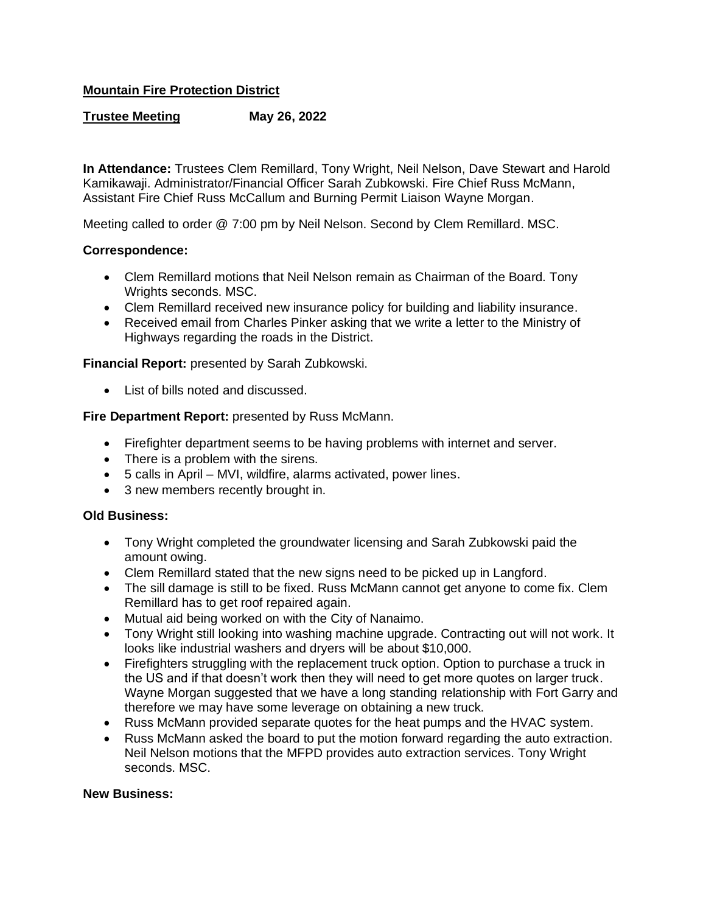# **Mountain Fire Protection District**

# **Trustee Meeting May 26, 2022**

**In Attendance:** Trustees Clem Remillard, Tony Wright, Neil Nelson, Dave Stewart and Harold Kamikawaji. Administrator/Financial Officer Sarah Zubkowski. Fire Chief Russ McMann, Assistant Fire Chief Russ McCallum and Burning Permit Liaison Wayne Morgan.

Meeting called to order @ 7:00 pm by Neil Nelson. Second by Clem Remillard. MSC.

## **Correspondence:**

- Clem Remillard motions that Neil Nelson remain as Chairman of the Board. Tony Wrights seconds. MSC.
- Clem Remillard received new insurance policy for building and liability insurance.
- Received email from Charles Pinker asking that we write a letter to the Ministry of Highways regarding the roads in the District.

## **Financial Report:** presented by Sarah Zubkowski.

• List of bills noted and discussed.

## **Fire Department Report:** presented by Russ McMann.

- Firefighter department seems to be having problems with internet and server.
- There is a problem with the sirens.
- 5 calls in April MVI, wildfire, alarms activated, power lines.
- 3 new members recently brought in.

#### **Old Business:**

- Tony Wright completed the groundwater licensing and Sarah Zubkowski paid the amount owing.
- Clem Remillard stated that the new signs need to be picked up in Langford.
- The sill damage is still to be fixed. Russ McMann cannot get anyone to come fix. Clem Remillard has to get roof repaired again.
- Mutual aid being worked on with the City of Nanaimo.
- Tony Wright still looking into washing machine upgrade. Contracting out will not work. It looks like industrial washers and dryers will be about \$10,000.
- Firefighters struggling with the replacement truck option. Option to purchase a truck in the US and if that doesn't work then they will need to get more quotes on larger truck. Wayne Morgan suggested that we have a long standing relationship with Fort Garry and therefore we may have some leverage on obtaining a new truck.
- Russ McMann provided separate quotes for the heat pumps and the HVAC system.
- Russ McMann asked the board to put the motion forward regarding the auto extraction. Neil Nelson motions that the MFPD provides auto extraction services. Tony Wright seconds. MSC.

#### **New Business:**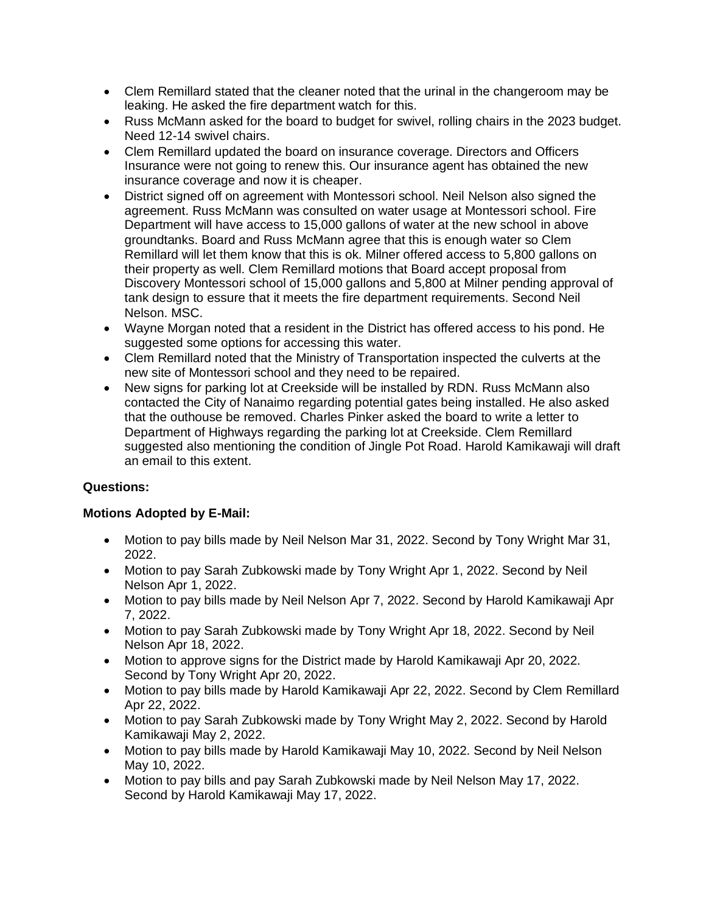- Clem Remillard stated that the cleaner noted that the urinal in the changeroom may be leaking. He asked the fire department watch for this.
- Russ McMann asked for the board to budget for swivel, rolling chairs in the 2023 budget. Need 12-14 swivel chairs.
- Clem Remillard updated the board on insurance coverage. Directors and Officers Insurance were not going to renew this. Our insurance agent has obtained the new insurance coverage and now it is cheaper.
- District signed off on agreement with Montessori school. Neil Nelson also signed the agreement. Russ McMann was consulted on water usage at Montessori school. Fire Department will have access to 15,000 gallons of water at the new school in above groundtanks. Board and Russ McMann agree that this is enough water so Clem Remillard will let them know that this is ok. Milner offered access to 5,800 gallons on their property as well. Clem Remillard motions that Board accept proposal from Discovery Montessori school of 15,000 gallons and 5,800 at Milner pending approval of tank design to essure that it meets the fire department requirements. Second Neil Nelson. MSC.
- Wayne Morgan noted that a resident in the District has offered access to his pond. He suggested some options for accessing this water.
- Clem Remillard noted that the Ministry of Transportation inspected the culverts at the new site of Montessori school and they need to be repaired.
- New signs for parking lot at Creekside will be installed by RDN. Russ McMann also contacted the City of Nanaimo regarding potential gates being installed. He also asked that the outhouse be removed. Charles Pinker asked the board to write a letter to Department of Highways regarding the parking lot at Creekside. Clem Remillard suggested also mentioning the condition of Jingle Pot Road. Harold Kamikawaji will draft an email to this extent.

# **Questions:**

## **Motions Adopted by E-Mail:**

- Motion to pay bills made by Neil Nelson Mar 31, 2022. Second by Tony Wright Mar 31, 2022.
- Motion to pay Sarah Zubkowski made by Tony Wright Apr 1, 2022. Second by Neil Nelson Apr 1, 2022.
- Motion to pay bills made by Neil Nelson Apr 7, 2022. Second by Harold Kamikawaji Apr 7, 2022.
- Motion to pay Sarah Zubkowski made by Tony Wright Apr 18, 2022. Second by Neil Nelson Apr 18, 2022.
- Motion to approve signs for the District made by Harold Kamikawaji Apr 20, 2022. Second by Tony Wright Apr 20, 2022.
- Motion to pay bills made by Harold Kamikawaji Apr 22, 2022. Second by Clem Remillard Apr 22, 2022.
- Motion to pay Sarah Zubkowski made by Tony Wright May 2, 2022. Second by Harold Kamikawaji May 2, 2022.
- Motion to pay bills made by Harold Kamikawaji May 10, 2022. Second by Neil Nelson May 10, 2022.
- Motion to pay bills and pay Sarah Zubkowski made by Neil Nelson May 17, 2022. Second by Harold Kamikawaji May 17, 2022.